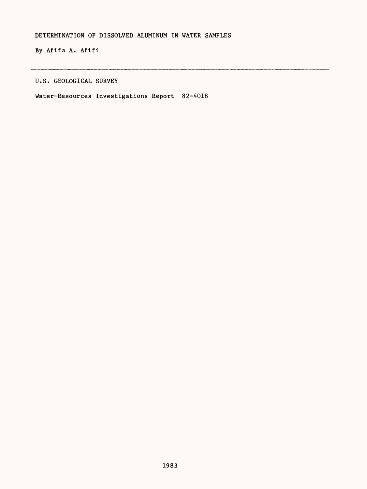By Afifa A. Afifi

U.S. GEOLOGICAL SURVEY

Water-Resources Investigations Report 82-4018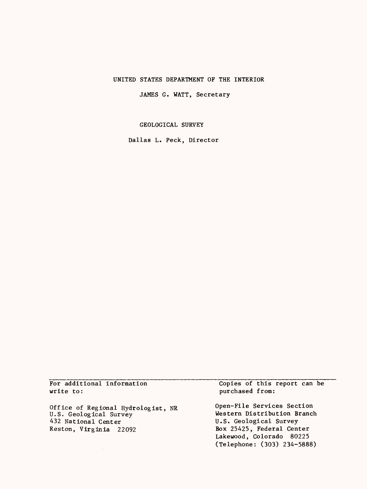### UNITED STATES DEPARTMENT OF THE INTERIOR

JAMES G. WATT, **Secretary**

GEOLOGICAL SURVEY

Dallas L. Peck, Director

For additional information write to:

 $\mathcal{L}^{\mathcal{L}}$ 

Office of Regional Hydrologist, NR U.S. Geological Survey 432 National Center Reston, Virginia 22092

Copies of this report can be purchased from:

Open-File Services Section Western Distribution Branch U.S. Geological Survey Box 25425, Federal Center Lakewood, Colorado 80225 (Telephone: (303) 234-5888)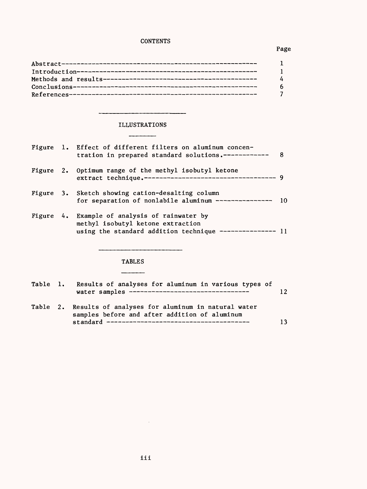## **CONTENTS**

## Page

| $\Delta$ |
|----------|
| -6       |
|          |

-

# ILLUSTRATIONS \_\_\_\_\_\_\_\_\_

|  | Figure 1. Effect of different filters on aluminum concen-<br>tration in prepared standard solutions.------------                               | - 8 |
|--|------------------------------------------------------------------------------------------------------------------------------------------------|-----|
|  | Figure 2. Optimum range of the methyl isobutyl ketone                                                                                          |     |
|  | Figure 3. Sketch showing cation-desalting column<br>for separation of nonlabile aluminum ---------------                                       | 10  |
|  | Figure 4. Example of analysis of rainwater by<br>methyl isobutyl ketone extraction<br>using the standard addition technique --------------- 11 |     |
|  |                                                                                                                                                |     |
|  | <b>TABLES</b>                                                                                                                                  |     |
|  |                                                                                                                                                |     |

| Table 1. | Results of analyses for aluminum in various types of<br>water samples ----------------------------------    | 12 |
|----------|-------------------------------------------------------------------------------------------------------------|----|
|          | Table 2. Results of analyses for aluminum in natural water<br>samples before and after addition of aluminum |    |

standard 13

 $\sim 10^{-11}$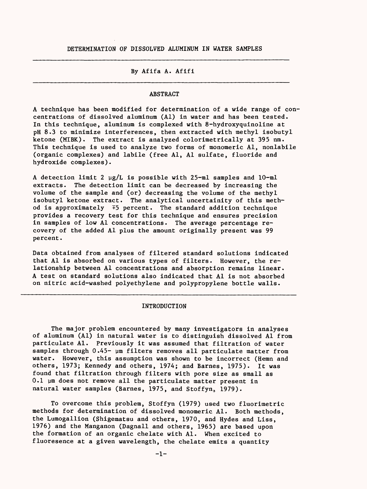#### By Afifa A. Afifi

#### ABSTRACT

A technique has been modified for determination of a wide range of concentrations of dissolved aluminum (Al) in water and has been tested. In this technique, aluminum is complexed with 8-hydroxyquinoline at pH 8.3 to minimize interferences, then extracted with methyl isobutyl ketone (MIBK). The extract is analyzed colorimetrically at 395 nm. This technique is used to analyze two forms of monomeric Al, nonlabile (organic complexes) and labile (free Al, Al sulfate, fluoride and hydroxide complexes).

A detection limit 2  $\mu$ g/L is possible with 25-ml samples and 10-ml extracts. The detection limit can be decreased by increasing the volume of the sample and (or) decreasing the volume of the methyl isobutyl ketone extract. The analytical uncertainity of this method is approximately  $\mp 5$  percent. The standard addition technique provides a recovery test for this technique and ensures precision in samples of low Al concentrations. The average percentage recovery of the added Al plus the amount originally present was 99 percent.

Data obtained from analyses of filtered standard solutions indicated that Al is absorbed on various types of filters. However, the relationship between Al concentrations and absorption remains linear. A test on standard solutions also indicated that Al is not absorbed on nitric acid-washed polyethylene and polypropylene bottle walls.

#### INTRODUCTION

The major problem encountered by many investigators in analyses of aluminum (Al) in natural water is to distinguish dissolved Al from particulate Al. Previously it was assumed that filtration of water samples through 0.45- µm filters removes all particulate matter from water. However, this assumption was shown to be incorrect (Hemn and others, 1973; Kennedy and others, 1974; and Barnes, 1975). It was found that filtration through filters with pore size as small as  $0.1$   $\mu$ m does not remove all the particulate matter present in natural water samples (Barnes, 1975, and Stoffyn, 1979).

To overcome this problem, Stoffyn (1979) used two fluorimetric methods for determination of dissolved monomeric Al. Both methods, the Lumogallion (Shigematsu and others, 1970, and Hydes and Liss, 1976) and the Manganon (Dagnall and others, 1965) are based upon the formation of an organic chelate with Al. When excited to fluoresence at a given wavelength, the chelate emits a quantity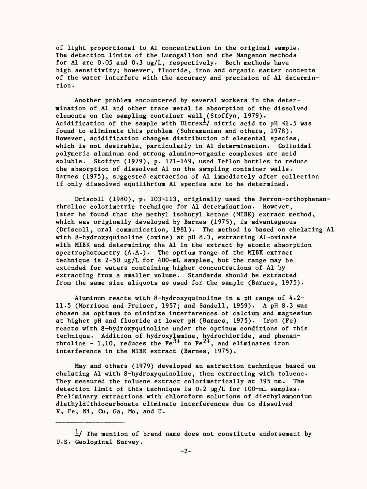of light proportional to Al concentration in the original sample. The detection limits of the Lumogallion and the Manganon methods for Al are 0.05 and 0.3  $\mu$ g/L, respectively. Both methods have high sensitivity; however, fluoride, iron and organic matter contents of the water interfere with the accuracy and precision of Al determintion.

Another problem encountered by several workers in the determination of Al and other trace metal is absorption of the dissolved elements on the sampling container wall (Stoffyn, 1979). Acidification of the sample with Ultrex<sup>1</sup>/ nitric acid to pH  $\leq$ 1.5 was found to eliminate this problem (Subramanian and others, 1978). However, acidification changes distribution of elemental species, which is not desirable, particularly in Al determination. Colloidal polymeric aluminum and strong alumino-organic complexes are acid soluble. Stoffyn (1979), p. 121-149, used Teflon bottles to reduce the absorption of dissolved Al on the sampling container walls. Barnes (1975), suggested extraction of Al immediately after collection if only dissolved equilibrium Al species are to be determined.

Driscoll (1980), p. 103-113, originally used the Ferron-orthophenanthroline colorimetric technique for Al determination. However, later he found that the methyl isobutyl ketone (MIBK) extract method, which was originally developed by Barnes (1975), is advantageous (Driscoll, oral communication, 1981). The method is based on chelating Al with 8-hydroxyquinoline (oxine) at pH 8.3, extracting Al-oxinate with MIBK and determining the Al in the extract by atomic absorption spectrophotometry  $(A.A.)$ . The optium range of the MIBK extract technique is  $2-50 \mu g/L$  for 400-mL samples, but the range may be extended for waters containing higher concentrations of Al by extracting from a smaller volume. Standards should be extracted from the same size aliquots as used for the sample (Barnes, 1975).

Aluminum reacts with 8-hydroxyquinoline in a pH range of 4.2- 11.5 (Morrison and Freiser, 1957; and Sandell, 1959). A pH 8.3 was chosen as optimum to minimize interferences of calcium and magnesium at higher pH and fluoride at lower pH (Barnes, 1975). Iron (Fe) reacts with 8-hydroxyquinoline under the optinum conditions of this technique. Addition of hydroxylamine, hydrochloride, and phenanthroline - 1,10, reduces the Fe $^{37}$  to Fe $^{27}$ , and eliminates iron interference in the MIBK extract (Barnes, 1975).

May and others (1979) developed an extraction technique based on chelating Al with 8-hydroxyquinoline, then extracting with toluene. They measured the toluene extract colorimetrically at 395 nm. The detection limit of this technique is  $0.2 \mu g/L$  for  $100-\text{mL}$  samples. Preliminary extractions with chloroform solutions of diethylammonium diethyldithiocarbonate eliminate interferences due to dissolved V, Fe, Ni, Cu, Ga, Mo, and U.

 $\frac{1}{x}$  The mention of brand name does not constitute endorsement by U.S. Geological Survey.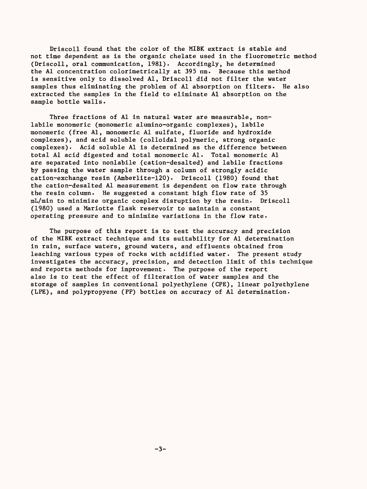Driscoll found that the color of the MIBK extract is stable and not time dependent as is the organic chelate used in the fluorometric method (Driscoll, oral communication, 1981). Accordingly, he determined the Al concentration colorimetrically at 395 nm. Because this method is sensitive only to dissolved Al, Driscoll did not filter the water samples thus eliminating the problem of Al absorption on filters. He also extracted the samples in the field to eliminate Al absorption on the sample bottle walls.

Three fractions of Al in natural water are measurable, nonlabile monomeric (monomeric alumino-organic complexes), labile monomeric (free Al, monomeric Al sulfate, fluoride and hydroxide complexes), and acid soluble (colloidal polymeric, strong organic complexes). Acid soluble Al is determined as the difference between total Al acid digested and total monomeric Al. Total monomeric Al are separated into nonlabile (cation-desalted) and labile fractions by passing the water sample through a column of strongly acidic cation-exchange resin (Amberlite-120). Driscoll (1980) found that the cation-desalted Al measurement is dependent on flow rate through the resin column. He suggested a constant high flow rate of 35 mL/min to minimize organic complex disruption by the resin. Driscoll (1980) used a Mariotte flask reservoir to maintain a constant operating pressure and to minimize variations in the flow rate.

The purpose of this report is to test the accuracy and precision of the MIBK extract technique and its suitability for Al determination in rain, surface waters, ground waters, and effluents obtained from leaching various types of rocks with acidified water. The present study investigates the accuracy, precision, and detection limit of this technique and reports methods for improvement. The purpose of the report also is to test the effect of filteration of water samples and the storage of samples in conventional polyethylene (CPE), linear polyethylene (LPE), and polypropyene (PP) bottles on accuracy of Al determination.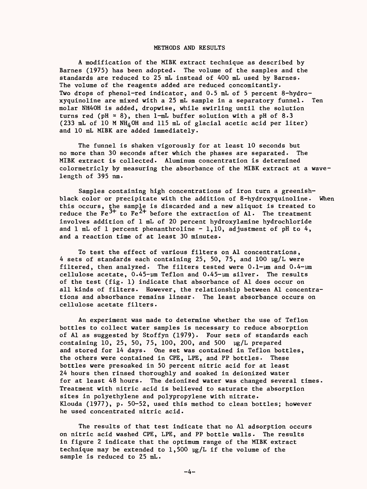#### METHODS AND RESULTS

A modification of the MIBK extract technique as described by Barnes (1975) has been adopted. The volume of the samples and the standards are reduced to 25 mL instead of 400 mL used by Barnes. The volume of the reagents added are reduced concomitantly. Two drops of phenol-red indicator, and 0.5 mL of 5 percent 8-hydroxyquinoline are mixed with a 25 mL sample in a separatory funnel. Ten molar NH40H is added, dropwise, while swirling until the solution turns red (pH  $\approx$  8), then 1-mL buffer solution with a pH of 8.3 (233 mL of 10 M NH4 OH and 115 mL of glacial acetic acid per liter) and 10 mL MIBK are added immediately.

The funnel is shaken vigorously for at least 10 seconds but no more than 30 seconds after which the phases are separated. The MIBK extract is collected. Aluminum concentration is determined colormetricly by measuring the absorbance of the MIBK extract at a wavelength of 395 nm.

Samples containing high concentrations of iron turn a greenishblack color or precipitate with the addition of 8-hydroxyquinoline. When this occurs, the sample is discarded and a new aliquot is treated to reduce the Fe<sup>3+</sup> to Fe<sup>2+</sup> before the extraction of Al. The treatment involves addition of 1 mL of 20 percent hydroxylamine hydrochloride and  $1$  mL of 1 percent phenanthroline - 1,10, adjustment of pH to  $4$ , and a reaction time of at least 30 minutes.

To test the effect of various filters on Al concentrations, 4 sets of standards each containing 25, 50, 75, and 100  $\mu$ g/L were filtered, then analyzed. The filters tested were  $0.1$ - $\mu$ m and  $0.4$ - $\mu$ m cellulose acetate,  $0.45$ - $\mu$ m Teflon and  $0.45$ - $\mu$ m silver. The results of the test (fig. 1) indicate that absorbance of Al does occur on all kinds of filters. However, the relationship between Al concentrations and absorbance remains linear. The least absorbance occurs on cellulose acetate filters.

An experiment was made to determine whether the use of Teflon bottles to collect water samples is necessary to reduce absorption of Al as suggested by Stoffyn (1979). Four sets of standards each containing 10, 25, 50, 75, 100, 200, and 500 yg/L prepared and stored for 14 days. One set was contained in Teflon bottles, the others were contained in CPE, LPE, and PP bottles. These bottles were presoaked in 50 percent nitric acid for at least 24 hours then rinsed thoroughly and soaked in deionized water for at least 48 hours. The deionized water was changed several times. Treatment with nitric acid is believed to saturate the absorption sites in polyethylene and polypropylene with nitrate. Klouda (1977), p. 50-52, used this method to clean bottles; however he used concentrated nitric acid.

The results of that test indicate that no Al adsorption occurs on nitric acid washed CPE, LPE, and PP bottle walls. The results in figure 2 indicate that the optimum range of the MIBK extract technique may be extended to  $1,500 \text{ µg/L}$  if the volume of the sample is reduced to 25 mL.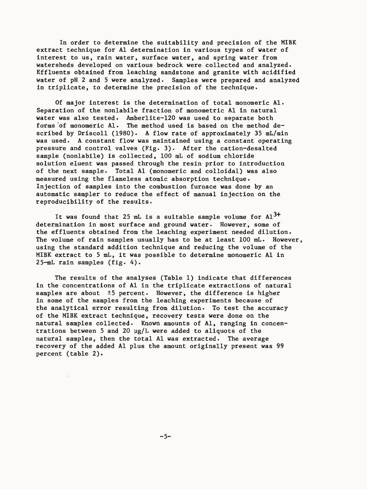In order to determine the suitability and precision of the MIBK extract technique for Al determination in various types of water of interest to us, rain water, surface water, and spring water from watersheds developed on various bedrock were collected and analyzed. Effluents obtained from leaching sandstone and granite with acidified water of pH 2 and 5 were analyzed. Samples were prepared and analyzed in triplicate, to determine the precision of the technique.

Of major interest is the determination of total monomeric Al. Separation of the nonlabile fraction of monometric Al in natural water was also tested. Amberlite-120 was used to separate both forms of monomeric Al. The method used is based on the method  $de$ scribed by Driscoll (1980). A flow rate of approximately 35 mL/min was used. A constant flow was maintained using a constant operating pressure and control valves (Fig. 3). After the cation-desalted sample (nonlabile) is collected, 100 mL of sodium chloride solution eluent was passed through the resin prior to introduction of the next sample. Total Al (monomeric and colloidal) was also measured using the flameless atomic absorption technique. Injection of samples into the combustion furnace was done by an automatic sampler to reduce the effect of manual injection on the reproducibility of the results.

It was found that 25 mL is a suitable sample volume for  $\text{Al}^{\text{3+}}$ determination in most surface and ground water. However, some of the effluents obtained from the leaching experiment needed dilution. The volume of rain samples usually has to be at least 100 mL. However, using the standard addition technique and reducing the volume of the MIBK extract to 5 mL, it was possible to determine monomeric Al in 25-mL rain samples (fig. 4).

The results of the analyses (Table 1) indicate that differences in the concentrations of Al in the triplicate extractions of natural samples are about ±5 percent. However, the difference is higher in some of the samples from the leaching experiments because of the analytical error resulting from dilution. To test the accuracy of the MIBK extract technique, recovery tests were done on the natural samples collected. Known amounts of Al, ranging in concentrations between 5 and 20  $\mu$ g/L were added to aliquots of the natural samples, then the total Al was extracted. The average recovery of the added Al plus the amount originally present was 99 percent (table 2).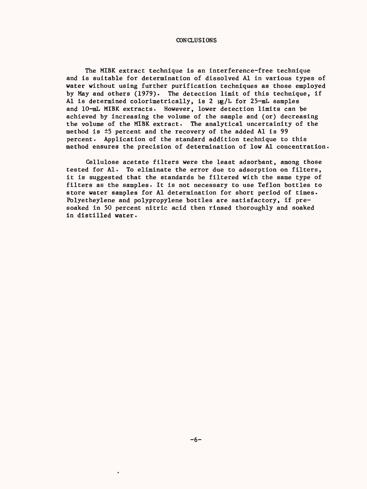CONCLUSIONS

The MIBK extract technique is an interference-free technique and is suitable for determination of dissolved Al in various types of water without using further purification techniques as those employed by May and others (1979). The detection limit of this technique, if Al is determined colorimetrically, is 2 µg/L for 25-mL samples and 10-mL MIBK extracts. However, lower detection limits can be achieved by increasing the volume of the sample and (or) decreasing the volume of the MIBK extract. The analytical uncertainity of the method is ±5 percent and the recovery of the added Al is 99 percent. Application of the standard addition technique to this method ensures the precision of determination of low Al concentration

Cellulose acetate filters were the least adsorbant, among those tested for Al. To eliminate the error due to adsorption on filters, it is suggested that the standards be filtered with the same type of filters as the samples. It is not necessary to use Teflon bottles to store water samples for Al determination for short period of times. Polyetheylene and polypropylene bottles are satisfactory, if presoaked in 50 percent nitric acid then rinsed thoroughly and soaked in distilled water.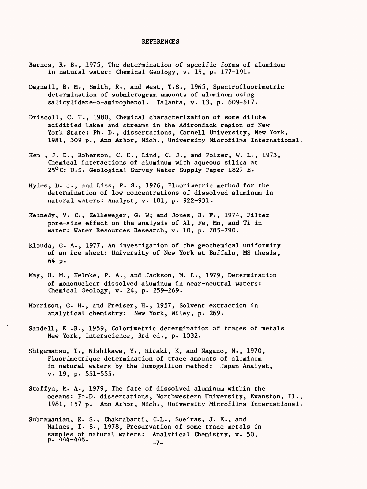#### **REFERENCES**

- Barnes, R. B., 1975, The determination of specific forms of aluminum in natural water: Chemical Geology, v. 15, p. 177-191.
- Dagnall, R. M., Smith, R., and West, T.S., 1965, Spectrofluorimetric determination of submicrogram amounts of aluminum using salicylidene-o-aminophenol. Talanta, v. 13, p. 609-617.
- Driscoll, C. T., 1980, Chemical characterization of some dilute acidified lakes and streams in the Adirondack region of New York State: Ph. D., dissertations, Cornell University, New York, 1981, 309 p., Ann Arbor, Mich., University Microfilms International.
- Hem , J. D., Roberson, C. E., Lind, C. J., and Polzer, W. L., 1973, Chemical interactions of aluminum with aqueous silica at 25<sup>o</sup>C: U.S. Geological Survey Water-Supply Paper 1827-E.
- Hydes, D. J., and Liss, P. S., 1976, Fluorimetric method for the determination of low concentrations of dissolved aluminum in natural waters: Analyst, v. 101, p. 922-931.
- Kennedy, V. C., Zelleweger, G. W; and Jones, B. F., 1974, Filter pore-size effect on the analysis of Al, Fe, Mn, and Ti in water: Water Resources Research, v. 10, p. 785-790.
- Klouda, G. A., 1977, An investigation of the geochemical uniformity of an ice sheet: University of New York at Buffalo, MS thesis, 64 p.
- May, H. M., Helmke, P. A., and Jackson, M. L., 1979, Determination of mononuclear dissolved aluminum in near-neutral waters: Chemical Geology, v. 24, p. 259-269.
- Morrison, G. H., and Freiser, H., 1957, Solvent extraction in analytical chemistry: New York, Wiley, p. 269.
- Sandell, E .B., 1959, Colorimetric determination of traces of metals New York, Interscience, 3rd ed., p. 1032.
- Shigematsu, T., Nishikawa, Y., Hiraki, K, and Nagano, N., 1970, Fluorimetrique determination of trace amounts of aluminum in natural waters by the lumogallion method: Japan Analyst, v. 19, p. 551-555.
- Stoffyn, M. A., 1979, The fate of dissolved aluminum within the oceans: Ph.D. dissertations, Northwestern University, Evanston, II., 1981, 157 p. Ann Arbor, Mich., University Microfilms International.
- Subramanian, K. S., Chakrabarti, C.L., Sueiras, J. E., and Maines, I. S., 1978, Preservation of some trace metals in samples of natural waters: Analytical Chemistry, v. 50,<br>p. 444-448.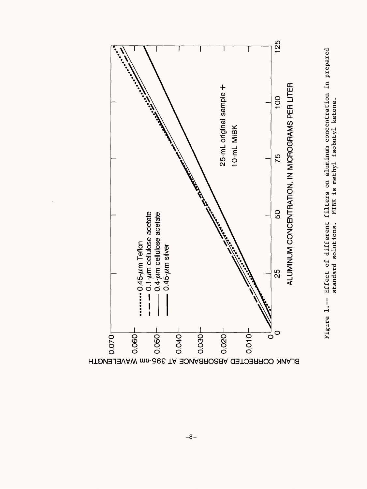

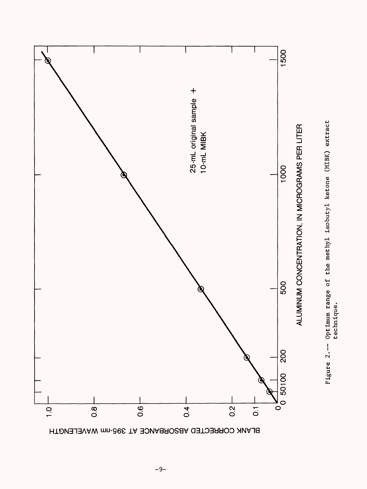

Figure 2.-- Optimum range of the methyl isobutyl ketone (MIBK) extract Figure 2.-- Optimum range of the methyl isobutyl ketone (MIBK) extract<br>technique. technique.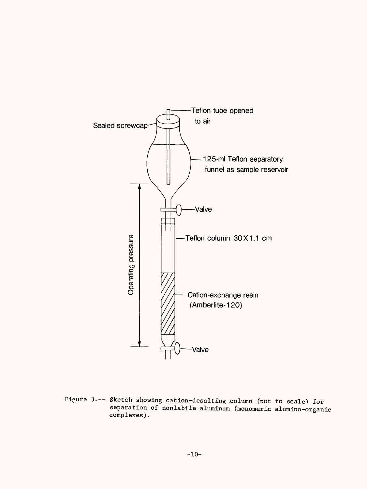

separacre<br> **complexe** -- Sketch showing cation-desalting column (not to scale) for<br>separation of nonlabile aluminum (monomeric alumino-organ etch showing cation-desalting column (not to scale) for<br>paration of nonlabile aluminum (monomeric alumino-organ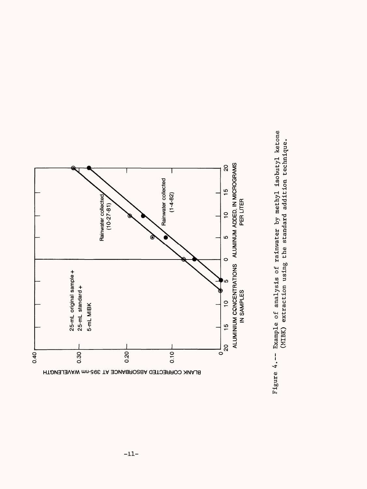

Figure 4.-- Example of analysis of rainwater by methyl isobutyl ketone Figure 4.-- Example of analysis of rainwater by methyl isobutyl ketone (MIBK) extraction using the standard addition technique. (MIBK) extraction using the standard addition technique.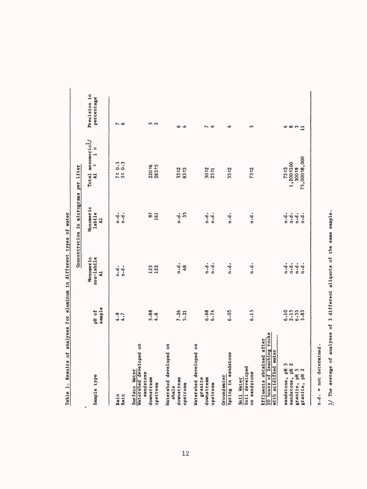|                                                                                |                                  |                                                        | Concentration in micrograms per liter                            |                                                                             |                            |
|--------------------------------------------------------------------------------|----------------------------------|--------------------------------------------------------|------------------------------------------------------------------|-----------------------------------------------------------------------------|----------------------------|
| Sample type                                                                    | sample<br>pH of                  | Monomeric<br>non-labile<br>$\overline{a}$              | Monomeric<br>labile<br>$\overline{a}$                            | Total monomeric $\frac{1}{2}$<br>$\frac{1}{2}$<br>$\ddot{}$<br>$\mathbf{z}$ | Precision in<br>percentage |
| Rain<br>Rain                                                                   | $\frac{1}{4}$ .7                 | $\ddot{a}$ .<br>$\ddot{a}$ .                           | $\ddot{a} \cdot \dot{d}$ .<br>n.d.                               | $71 + 0.5$<br>51 0.3                                                        | $\sim$ 0                   |
| Watershed developed on<br>Surface Water<br>sandstone<br>downstream<br>upstream | $5.88$<br>4.8                    | 123<br>122                                             | $97$<br>$161$                                                    | $220 - 6$<br>$283 + 5$                                                      | m N                        |
| Watershed developed on<br>downstream<br>upstream<br>shale                      | $7.26$<br>$5.21$                 | $\frac{1}{2}$<br>48                                    | 35<br>$\ddot{a}$ .                                               | $33 + 2$<br>$83 + 3$                                                        | ৽ ব                        |
| Watershed developed on<br>granite<br>downstream<br>upstream                    | 6.68<br>6.74                     | $\mathbf{a} \cdot \mathbf{d}$ .<br>$\mathbf{u}$ .      | $\ddot{a}$ .<br>$\frac{1}{n}$                                    | $30 - 2$<br>$25 - 1$                                                        | Ñ<br>4                     |
| Spring in sandstone<br>Groundwater                                             | 6.05                             | $\ddot{a} \cdot \dot{d}$ .                             | $\ddot{a}$ .                                                     | $55 + 2$                                                                    | 4                          |
| Soil developed<br>on sandstone<br>Soil Water                                   | 6.15                             | $\frac{1}{a}$                                          | $\ddot{a}$ .                                                     | 75±2                                                                        | S                          |
| 20 hours of leaching rocks<br>Effluents obtained after<br>with acidified water |                                  |                                                        |                                                                  |                                                                             |                            |
| sandstone, pH 5<br>sandstone, pH 2<br>granite, pH 5<br>granite, pH 2           | 6.10<br>$2.15$<br>$6.55$<br>3.83 | $n \cdot d$ .<br>n.d.<br>$\ddot{a}$ .<br>$\frac{1}{2}$ | $\ddot{a}$ .<br>$n \cdot d$ .<br>$\frac{1}{n}$ .<br>$\ddot{a}$ . | 75,000 ±8,000<br>$1,200+100$<br>300±9<br>75±3                               | 489                        |
|                                                                                |                                  |                                                        |                                                                  |                                                                             |                            |

Table 1. Results of analyses for aluminum in different types of water Table 1. Results of analyses for aluminum in different types of water

n.d. = not determined. n.d. = not determined.

 $1/$  The average of analyses of 3 different aliquots of the same sample. I/ The average of analyses of 3 different aliquots of the same sample.